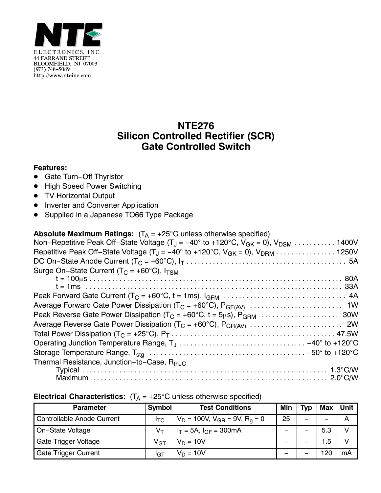

## **NTE276 Silicon Controlled Rectifier (SCR) Gate Controlled Switch**

## **Features:**

- <u>■ Gate Turn-Off Thyristor</u>
- High Speed Power Switching
- TV Horizontal Output
- **•** Inverter and Converter Application
- Supplied in a Japanese TO66 Type Package

| <b>Absolute Maximum Ratings:</b> $(T_A = +25^{\circ}C$ unless otherwise specified)                                      |
|-------------------------------------------------------------------------------------------------------------------------|
| Non-Repetitive Peak Off-State Voltage $(T_J = -40^\circ \text{ to } +120^\circ \text{C}, V_{GK} = 0)$ , $V_{DSM}$ 1400V |
|                                                                                                                         |
|                                                                                                                         |
| Surge On-State Current ( $T_C = +60^{\circ}C$ ), $I_{TSM}$                                                              |
|                                                                                                                         |
|                                                                                                                         |
|                                                                                                                         |
|                                                                                                                         |
|                                                                                                                         |
|                                                                                                                         |
|                                                                                                                         |
|                                                                                                                         |
|                                                                                                                         |
| Thermal Resistance, Junction-to-Case, R <sub>thJC</sub>                                                                 |
|                                                                                                                         |
|                                                                                                                         |

## **Electrical Characteristics:**  $(T_A = +25^\circ C$  unless otherwise specified)

| <b>Parameter</b>                  | Symbol       | <b>Test Conditions</b>                   | Min | Tvp | Max | Unit |
|-----------------------------------|--------------|------------------------------------------|-----|-----|-----|------|
| <b>Controllable Anode Current</b> | l⊤c.         | $V_D = 100V$ , $V_{GR} = 9V$ , $R_q = 0$ | 25  |     |     |      |
| On-State Voltage                  |              | $I_T = 5A$ , $I_{GF} = 300mA$            |     |     | 5.3 |      |
| Gate Trigger Voltage              | $\rm V_{GT}$ | $V_D = 10V$                              |     |     | 1.5 |      |
| <b>Gate Trigger Current</b>       | IGT          | $V_D = 10V$                              |     |     | 20  | mA   |